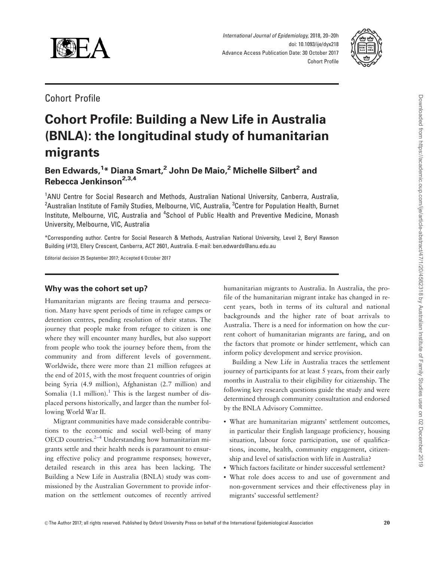<span id="page-0-0"></span>

International Journal of Epidemiology, 2018, 20–20h doi: 10.1093/ije/dyx218 Advance Access Publication Date: 30 October 2017 Cohort Profile



Cohort Profile

# Cohort Profile: Building a New Life in Australia (BNLA): the longitudinal study of humanitarian migrants

Ben Edwards,<sup>1</sup>\* Diana Smart,<sup>2</sup> John De Maio,<sup>2</sup> Michelle Silbert<sup>2</sup> and Rebecca Jenkinson<sup>2,3,4</sup>

<sup>1</sup>ANU Centre for Social Research and Methods, Australian National University, Canberra, Australia, <sup>2</sup>Australian Institute of Family Studies, Melbourne, VIC, Australia, <sup>3</sup>Centre for Population Health, Burnet Institute, Melbourne, VIC, Australia and <sup>4</sup>School of Public Health and Preventive Medicine, Monash University, Melbourne, VIC, Australia

\*Corresponding author. Centre for Social Research & Methods, Australian National University, Level 2, Beryl Rawson Building (#13), Ellery Crescent, Canberra, ACT 2601, Australia. E-mail: ben.edwards@anu.edu.au

Editorial decision 25 September 2017; Accepted 6 October 2017

## Why was the cohort set up?

Humanitarian migrants are fleeing trauma and persecution. Many have spent periods of time in refugee camps or detention centres, pending resolution of their status. The journey that people make from refugee to citizen is one where they will encounter many hurdles, but also support from people who took the journey before them, from the community and from different levels of government. Worldwide, there were more than 21 million refugees at the end of 2015, with the most frequent countries of origin being Syria (4.9 million), Afghanistan (2.7 million) and Somalia  $(1.1 \text{ million})$  $(1.1 \text{ million})$  $(1.1 \text{ million})$ .<sup>1</sup> This is the largest number of displaced persons historically, and larger than the number following World War II.

Migrant communities have made considerable contributions to the economic and social well-being of many OECD countries. $2-4$  Understanding how humanitarian migrants settle and their health needs is paramount to ensuring effective policy and programme responses; however, detailed research in this area has been lacking. The Building a New Life in Australia (BNLA) study was commissioned by the Australian Government to provide information on the settlement outcomes of recently arrived

humanitarian migrants to Australia. In Australia, the profile of the humanitarian migrant intake has changed in recent years, both in terms of its cultural and national backgrounds and the higher rate of boat arrivals to Australia. There is a need for information on how the current cohort of humanitarian migrants are faring, and on the factors that promote or hinder settlement, which can inform policy development and service provision.

Building a New Life in Australia traces the settlement journey of participants for at least 5 years, from their early months in Australia to their eligibility for citizenship. The following key research questions guide the study and were determined through community consultation and endorsed by the BNLA Advisory Committee.

- What are humanitarian migrants' settlement outcomes, in particular their English language proficiency, housing situation, labour force participation, use of qualifications, income, health, community engagement, citizenship and level of satisfaction with life in Australia?
- Which factors facilitate or hinder successful settlement?
- What role does access to and use of government and non-government services and their effectiveness play in migrants' successful settlement?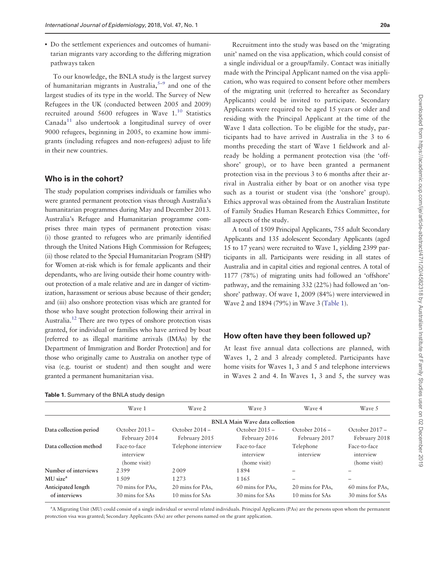<span id="page-1-0"></span>• Do the settlement experiences and outcomes of humanitarian migrants vary according to the differing migration pathways taken

To our knowledge, the BNLA study is the largest survey of humanitarian migrants in Australia, $5-9$  $5-9$  $5-9$  and one of the largest studies of its type in the world. The Survey of New Refugees in the UK (conducted between 2005 and 2009) recruited around  $5600$  refugees in Wave  $1<sup>10</sup>$  Statistics  $Canada<sup>11</sup>$  $Canada<sup>11</sup>$  $Canada<sup>11</sup>$  also undertook a longitudinal survey of over 9000 refugees, beginning in 2005, to examine how immigrants (including refugees and non-refugees) adjust to life in their new countries.

#### Who is in the cohort?

The study population comprises individuals or families who were granted permanent protection visas through Australia's humanitarian programmes during May and December 2013. Australia's Refugee and Humanitarian programme comprises three main types of permanent protection visas: (i) those granted to refugees who are primarily identified through the United Nations High Commission for Refugees; (ii) those related to the Special Humanitarian Program (SHP) for Women at-risk which is for female applicants and their dependants, who are living outside their home country without protection of a male relative and are in danger of victimization, harassment or serious abuse because of their gender; and (iii) also onshore protection visas which are granted for those who have sought protection following their arrival in Australia.[12](#page-7-0) There are two types of onshore protection visas granted, for individual or families who have arrived by boat [referred to as illegal maritime arrivals (IMAs) by the Department of Immigration and Border Protection] and for those who originally came to Australia on another type of visa (e.g. tourist or student) and then sought and were granted a permanent humanitarian visa.

| Table 1. Summary of the BNLA study design |  |  |  |
|-------------------------------------------|--|--|--|
|-------------------------------------------|--|--|--|

Recruitment into the study was based on the 'migrating unit' named on the visa application, which could consist of a single individual or a group/family. Contact was initially made with the Principal Applicant named on the visa application, who was required to consent before other members of the migrating unit (referred to hereafter as Secondary Applicants) could be invited to participate. Secondary Applicants were required to be aged 15 years or older and residing with the Principal Applicant at the time of the Wave 1 data collection. To be eligible for the study, participants had to have arrived in Australia in the 3 to 6 months preceding the start of Wave 1 fieldwork and already be holding a permanent protection visa (the 'offshore' group), or to have been granted a permanent protection visa in the previous 3 to 6 months after their arrival in Australia either by boat or on another visa type such as a tourist or student visa (the 'onshore' group). Ethics approval was obtained from the Australian Institute of Family Studies Human Research Ethics Committee, for all aspects of the study.

A total of 1509 Principal Applicants, 755 adult Secondary Applicants and 135 adolescent Secondary Applicants (aged 15 to 17 years) were recruited to Wave 1, yielding 2399 participants in all. Participants were residing in all states of Australia and in capital cities and regional centres. A total of 1177 (78%) of migrating units had followed an 'offshore' pathway, and the remaining 332 (22%) had followed an 'onshore' pathway. Of wave 1, 2009 (84%) were interviewed in Wave 2 and 1894 (79%) in Wave 3 (Table 1).

### How often have they been followed up?

At least five annual data collections are planned, with Waves 1, 2 and 3 already completed. Participants have home visits for Waves 1, 3 and 5 and telephone interviews in Waves 2 and 4. In Waves 1, 3 and 5, the survey was

|                                     | Wave 1                                    | Wave 2                              | Wave 3                                    | Wave 4                              | Wave 5                                    |
|-------------------------------------|-------------------------------------------|-------------------------------------|-------------------------------------------|-------------------------------------|-------------------------------------------|
|                                     |                                           |                                     | <b>BNLA Main Wave data collection</b>     |                                     |                                           |
| Data collection period              | October $2013 -$<br>February 2014         | October $2014 -$<br>February 2015   | October $2015 -$<br>February 2016         | October $2016 -$<br>February 2017   | October 2017 -<br>February 2018           |
| Data collection method              | Face-to-face<br>interview<br>(home visit) | Telephone interview                 | Face-to-face<br>interview<br>(home visit) | Telephone<br>interview              | Face-to-face<br>interview<br>(home visit) |
| Number of interviews                | 2399                                      | 2009                                | 1894                                      |                                     |                                           |
| MU size <sup>a</sup>                | 1.509                                     | 1 2 7 3                             | 1165                                      |                                     |                                           |
| Anticipated length<br>of interviews | 70 mins for PAs,<br>30 mins for SAs       | 20 mins for PAs,<br>10 mins for SAs | 60 mins for PAs,<br>30 mins for SAs       | 20 mins for PAs,<br>10 mins for SAs | 60 mins for PAs,<br>30 mins for SAs       |

<sup>a</sup>A Migrating Unit (MU) could consist of a single individual or several related individuals. Principal Applicants (PAs) are the persons upon whom the permanent protection visa was granted; Secondary Applicants (SAs) are other persons named on the grant application.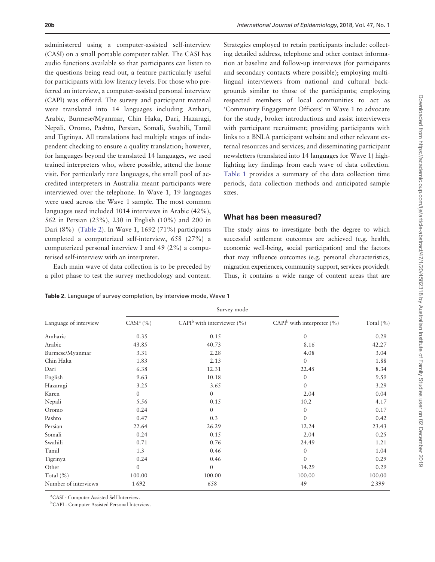administered using a computer-assisted self-interview (CASI) on a small portable computer tablet. The CASI has audio functions available so that participants can listen to the questions being read out, a feature particularly useful for participants with low literacy levels. For those who preferred an interview, a computer-assisted personal interview (CAPI) was offered. The survey and participant material were translated into 14 languages including Amhari, Arabic, Burmese/Myanmar, Chin Haka, Dari, Hazaragi, Nepali, Oromo, Pashto, Persian, Somali, Swahili, Tamil and Tigrinya. All translations had multiple stages of independent checking to ensure a quality translation; however, for languages beyond the translated 14 languages, we used trained interpreters who, where possible, attend the home visit. For particularly rare languages, the small pool of accredited interpreters in Australia meant participants were interviewed over the telephone. In Wave 1, 19 languages were used across the Wave 1 sample. The most common languages used included 1014 interviews in Arabic (42%), 562 in Persian (23%), 230 in English (10%) and 200 in Dari (8%) (Table 2). In Wave 1, 1692 (71%) participants completed a computerized self-interview, 658 (27%) a computerized personal interview I and 49 (2%) a computerised self-interview with an interpreter.

Each main wave of data collection is to be preceded by a pilot phase to test the survey methodology and content.

Strategies employed to retain participants include: collecting detailed address, telephone and other contact information at baseline and follow-up interviews (for participants and secondary contacts where possible); employing multilingual interviewers from national and cultural backgrounds similar to those of the participants; employing respected members of local communities to act as 'Community Engagement Officers' in Wave 1 to advocate for the study, broker introductions and assist interviewers with participant recruitment; providing participants with links to a BNLA participant website and other relevant external resources and services; and disseminating participant newsletters (translated into 14 languages for Wave 1) highlighting key findings from each wave of data collection. [Table 1](#page-1-0) provides a summary of the data collection time periods, data collection methods and anticipated sample sizes.

## What has been measured?

The study aims to investigate both the degree to which successful settlement outcomes are achieved (e.g. health, economic well-being, social participation) and the factors that may influence outcomes (e.g. personal characteristics, migration experiences, community support, services provided). Thus, it contains a wide range of content areas that are

Table 2. Language of survey completion, by interview mode, Wave 1

Survey mode Language of interview CASI<sup>a</sup> (%) CAPI<sup>b</sup> with interviewer (%) CAPI<sup>b</sup> with interpreter (%) Total (%) Amharic 0.35 0.15 0 0.29 Arabic 43.85 40.73 8.16 42.27 Burmese/Myanmar 3.31 2.28 4.08 3.04 Chin Haka 1.83 2.13 0 1.88 Dari 6.38 6.38 12.31 22.45 8.34 English 9.63 10.18 0 9.59 Hazaragi 3.25 3.65 0 3.29 Karen 1980 - 1980 - 1980 - 1980 - 1980 - 1980 - 1980 - 1980 - 1980 - 1980 - 1980 - 1980 - 1980 - 1980 - 1980 -Nepali 5.56 5.56 0.15 10.2 4.17 Oromo  $0.24$  0 0.17 Pashto 0.47 0.3 0 0.42 0.42 Persian 22.64 26.29 12.24 23.43 Somali 2.04 0.25 0.26 0.15 2.04 0.25 Swahili 0.71 0.76 24.49 1.21 Tamil 1.3 0.46 0 1.04 Tigrinya 0.24 0.46 0 0.29 Other 0 0 0 0 14.29 0.29  $\text{Total } (\%)$  100.00 100.00 100.00 100.00 100.00 100.00 100.00 Number of interviews 1 692 658 658 49 2 399

a CASI - Computer Assisted Self Interview.

b CAPI - Computer Assisted Personal Interview.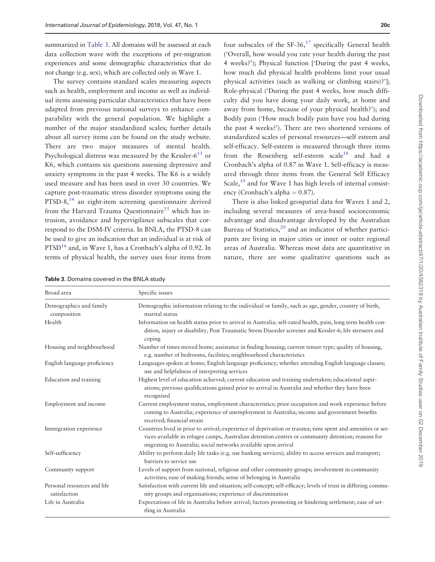<span id="page-3-0"></span>summarized in Table 3. All domains will be assessed at each data collection wave with the exceptions of pre-migration experiences and some demographic characteristics that do not change (e.g. sex), which are collected only in Wave 1.

The survey contains standard scales measuring aspects such as health, employment and income as well as individual items assessing particular characteristics that have been adapted from previous national surveys to enhance comparability with the general population. We highlight a number of the major standardized scales; further details about all survey items can be found on the study website. There are two major measures of mental health. Psychological distress was measured by the Kessler- $6^{13}$  $6^{13}$  $6^{13}$  or K6, which contains six questions assessing depressive and anxiety symptoms in the past 4 weeks. The K6 is a widely used measure and has been used in over 30 countries. We capture post-traumatic stress disorder symptoms using the PTSD-8,<sup>14</sup> an eight-item screening questionnaire derived from the Harvard Trauma Questionnaire<sup>[15](#page-7-0)</sup> which has intrusion, avoidance and hypervigilance subscales that correspond to the DSM-IV criteria. In BNLA, the PTSD-8 can be used to give an indication that an individual is at risk of PTSD<sup>16</sup> and, in Wave 1, has a Cronbach's alpha of 0.92. In terms of physical health, the survey uses four items from

four subscales of the  $SF-36$ ,  $17$  specifically General health ('Overall, how would you rate your health during the past 4 weeks?'); Physical function ['During the past 4 weeks, how much did physical health problems limit your usual physical activities (such as walking or climbing stairs)?']; Role-physical ('During the past 4 weeks, how much difficulty did you have doing your daily work, at home and away from home, because of your physical health?'); and Bodily pain ('How much bodily pain have you had during the past 4 weeks?'). There are two shortened versions of standardized scales of personal resources—self esteem and self-efficacy. Self-esteem is measured through three items from the Rosenberg self-esteem scale<sup>18</sup> and had a Cronbach's alpha of 0.87 in Wave 1. Self-efficacy is measured through three items from the General Self Efficacy Scale,<sup>[19](#page-7-0)</sup> and for Wave 1 has high levels of internal consistency (Cronbach's alpha  $= 0.87$ ).

There is also linked geospatial data for Waves 1 and 2, including several measures of area-based socioeconomic advantage and disadvantage developed by the Australian Bureau of Statistics,<sup>[20](#page-8-0)</sup> and an indicator of whether participants are living in major cities or inner or outer regional areas of Australia. Whereas most data are quantitative in nature, there are some qualitative questions such as

| <b>Table 3.</b> Domains covered in the BNLA study |  |  |  |  |
|---------------------------------------------------|--|--|--|--|
|---------------------------------------------------|--|--|--|--|

| Broad area                                  | Specific issues                                                                                                                                                                                                                                                                    |
|---------------------------------------------|------------------------------------------------------------------------------------------------------------------------------------------------------------------------------------------------------------------------------------------------------------------------------------|
| Demographics and family<br>composition      | Demographic information relating to the individual or family, such as age, gender, country of birth,<br>marital status                                                                                                                                                             |
| Health                                      | Information on health status prior to arrival in Australia; self-rated health, pain, long term health con-<br>dition, injury or disability, Post Traumatic Stress Disorder screener and Kessler-6; life stressors and<br>coping                                                    |
| Housing and neighbourhood                   | Number of times moved home; assistance in finding housing; current tenure type; quality of housing,<br>e.g. number of bedrooms, facilities; neighbourhood characteristics                                                                                                          |
| English language proficiency                | Languages spoken at home; English language proficiency; whether attending English language classes;<br>use and helpfulness of interpreting services                                                                                                                                |
| Education and training                      | Highest level of education achieved; current education and training undertaken; educational aspir-<br>ations; previous qualifications gained prior to arrival in Australia and whether they have been<br>recognised                                                                |
| Employment and income                       | Current employment status, employment characteristics; prior occupation and work experience before<br>coming to Australia; experience of unemployment in Australia; income and government benefits<br>received; financial strain                                                   |
| Immigration experience                      | Countries lived in prior to arrival; experience of deprivation or trauma; time spent and amenities or ser-<br>vices available in refugee camps, Australian detention centres or community detention; reasons for<br>migrating to Australia; social networks available upon arrival |
| Self-sufficiency                            | Ability to perform daily life tasks (e.g. use banking services); ability to access services and transport;<br>barriers to service use                                                                                                                                              |
| Community support                           | Levels of support from national, religious and other community groups; involvement in community<br>activities; ease of making friends; sense of belonging in Australia                                                                                                             |
| Personal resources and life<br>satisfaction | Satisfaction with current life and situation; self-concept; self-efficacy; levels of trust in differing commu-<br>nity groups and organisations; experience of discrimination                                                                                                      |
| Life in Australia                           | Expectations of life in Australia before arrival; factors promoting or hindering settlement; ease of set-<br>tling in Australia                                                                                                                                                    |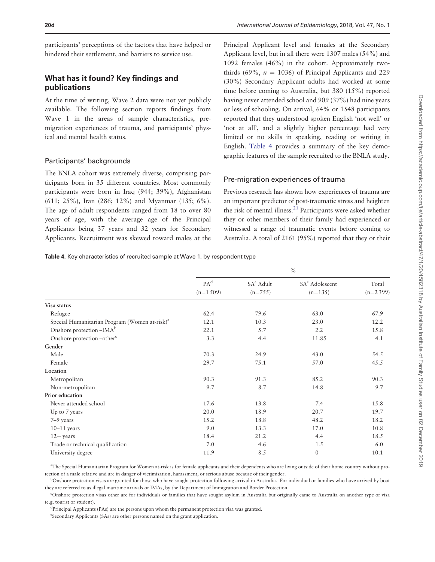<span id="page-4-0"></span>participants' perceptions of the factors that have helped or hindered their settlement, and barriers to service use.

# What has it found? Key findings and publications

At the time of writing, Wave 2 data were not yet publicly available. The following section reports findings from Wave 1 in the areas of sample characteristics, premigration experiences of trauma, and participants' physical and mental health status.

#### Participants' backgrounds

The BNLA cohort was extremely diverse, comprising participants born in 35 different countries. Most commonly participants were born in Iraq (944; 39%), Afghanistan (611; 25%), Iran (286; 12%) and Myanmar (135; 6%). The age of adult respondents ranged from 18 to over 80 years of age, with the average age of the Principal Applicants being 37 years and 32 years for Secondary Applicants. Recruitment was skewed toward males at the Principal Applicant level and females at the Secondary Applicant level, but in all there were 1307 males (54%) and 1092 females (46%) in the cohort. Approximately twothirds (69%,  $n = 1036$ ) of Principal Applicants and 229 (30%) Secondary Applicant adults had worked at some time before coming to Australia, but 380 (15%) reported having never attended school and 909 (37%) had nine years or less of schooling. On arrival, 64% or 1548 participants reported that they understood spoken English 'not well' or 'not at all', and a slightly higher percentage had very limited or no skills in speaking, reading or writing in English. Table 4 provides a summary of the key demographic features of the sample recruited to the BNLA study.

#### Pre-migration experiences of trauma

Previous research has shown how experiences of trauma are an important predictor of post-traumatic stress and heighten the risk of mental illness.<sup>[21](#page-8-0)</sup> Participants were asked whether they or other members of their family had experienced or witnessed a range of traumatic events before coming to Australia. A total of 2161 (95%) reported that they or their

Table 4. Key characteristics of recruited sample at Wave 1, by respondent type

|                                                           | $\frac{0}{0}$                  |                                    |                                         |                     |
|-----------------------------------------------------------|--------------------------------|------------------------------------|-----------------------------------------|---------------------|
|                                                           | PA <sup>d</sup><br>$(n=1.509)$ | SA <sup>e</sup> Adult<br>$(n=755)$ | SA <sup>e</sup> Adolescent<br>$(n=135)$ | Total<br>$(n=2399)$ |
| Visa status                                               |                                |                                    |                                         |                     |
| Refugee                                                   | 62.4                           | 79.6                               | 63.0                                    | 67.9                |
| Special Humanitarian Program (Women at-risk) <sup>a</sup> | 12.1                           | 10.3                               | 23.0                                    | 12.2                |
| Onshore protection -IMA <sup>b</sup>                      | 22.1                           | 5.7                                | 2.2                                     | 15.8                |
| Onshore protection -other <sup>c</sup>                    | 3.3                            | 4.4                                | 11.85                                   | 4.1                 |
| Gender                                                    |                                |                                    |                                         |                     |
| Male                                                      | 70.3                           | 24.9                               | 43.0                                    | 54.5                |
| Female                                                    | 29.7                           | 75.1                               | 57.0                                    | 45.5                |
| Location                                                  |                                |                                    |                                         |                     |
| Metropolitan                                              | 90.3                           | 91.3                               | 85.2                                    | 90.3                |
| Non-metropolitan                                          | 9.7                            | 8.7                                | 14.8                                    | 9.7                 |
| Prior education                                           |                                |                                    |                                         |                     |
| Never attended school                                     | 17.6                           | 13.8                               | 7.4                                     | 15.8                |
| Up to 7 years                                             | 20.0                           | 18.9                               | 20.7                                    | 19.7                |
| 7–9 years                                                 | 15.2                           | 18.8                               | 48.2                                    | 18.2                |
| $10-11$ years                                             | 9.0                            | 13.3                               | 17.0                                    | 10.8                |
| $12+$ years                                               | 18.4                           | 21.2                               | 4.4                                     | 18.5                |
| Trade or technical qualification                          | 7.0                            | 4.6                                | 1.5                                     | 6.0                 |
| University degree                                         | 11.9                           | 8.5                                | $\overline{0}$                          | 10.1                |

a The Special Humanitarian Program for Women at-risk is for female applicants and their dependents who are living outside of their home country without protection of a male relative and are in danger of victimisation, harassment, or serious abuse because of their gender.

<sup>b</sup>Onshore protection visas are granted for those who have sought protection following arrival in Australia. For individual or families who have arrived by boat they are referred to as illegal maritime arrivals or IMAs, by the Department of Immigration and Border Protection.

c Onshore protection visas other are for individuals or families that have sought asylum in Australia but originally came to Australia on another type of visa (e.g. tourist or student).

<sup>d</sup>Principal Applicants (PAs) are the persons upon whom the permanent protection visa was granted.

e Secondary Applicants (SAs) are other persons named on the grant application.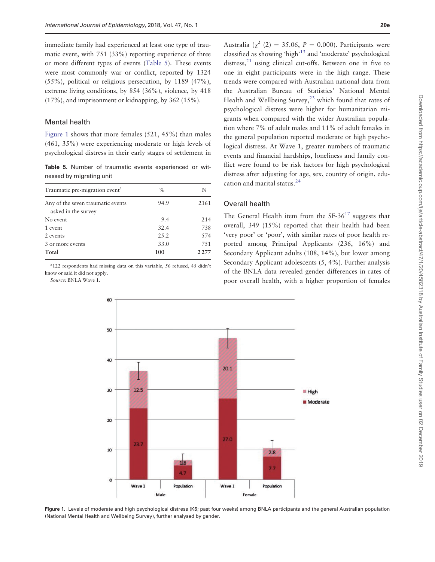<span id="page-5-0"></span>immediate family had experienced at least one type of traumatic event, with 751 (33%) reporting experience of three or more different types of events (Table 5). These events were most commonly war or conflict, reported by 1324 (55%), political or religious persecution, by 1189 (47%), extreme living conditions, by 854 (36%), violence, by 418 (17%), and imprisonment or kidnapping, by 362 (15%).

#### Mental health

Figure 1 shows that more females (521, 45%) than males (461, 35%) were experiencing moderate or high levels of psychological distress in their early stages of settlement in

Table 5. Number of traumatic events experienced or witnessed by migrating unit

| Traumatic pre-migration event <sup>a</sup>               | $\%$  | N       |
|----------------------------------------------------------|-------|---------|
| Any of the seven traumatic events<br>asked in the survey | 94.9  | 2161    |
| No event                                                 | 9.4   | 214     |
| 1 event                                                  | 32.4  | 738     |
| 2 events                                                 | 2.5.2 | 574     |
| 3 or more events                                         | 33.0  | 7.51    |
| Total                                                    | 100   | 2 2 7 7 |

a 122 respondents had missing data on this variable, 56 refused, 45 didn't know or said it did not apply.

Source: BNLA Wave 1.

Australia ( $\gamma^2$  (2) = 35.06, P = 0.000). Participants were classified as showing 'high'[13](#page-7-0) and 'moderate' psychological distress, $21$  using clinical cut-offs. Between one in five to one in eight participants were in the high range. These trends were compared with Australian national data from the Australian Bureau of Statistics' National Mental Health and Wellbeing Survey, $^{23}$  $^{23}$  $^{23}$  which found that rates of psychological distress were higher for humanitarian migrants when compared with the wider Australian population where 7% of adult males and 11% of adult females in the general population reported moderate or high psychological distress. At Wave 1, greater numbers of traumatic events and financial hardships, loneliness and family conflict were found to be risk factors for high psychological distress after adjusting for age, sex, country of origin, education and marital status.[24](#page-8-0)

#### Overall health

The General Health item from the  $SF-36^{17}$  suggests that overall, 349 (15%) reported that their health had been 'very poor' or 'poor', with similar rates of poor health reported among Principal Applicants (236, 16%) and Secondary Applicant adults (108, 14%), but lower among Secondary Applicant adolescents (5, 4%). Further analysis of the BNLA data revealed gender differences in rates of poor overall health, with a higher proportion of females



Figure 1. Levels of moderate and high psychological distress (K6; past four weeks) among BNLA participants and the general Australian population (National Mental Health and Wellbeing Survey), further analysed by gender.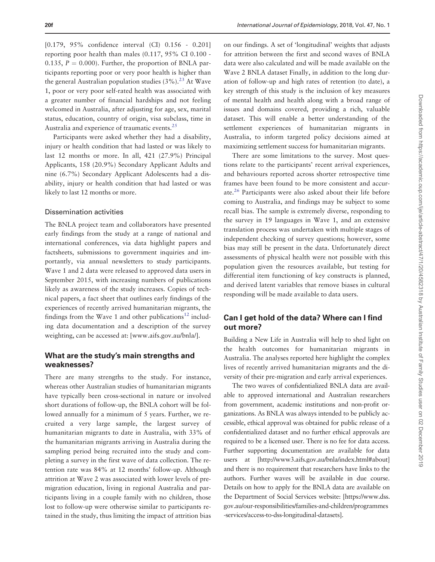<span id="page-6-0"></span>[0.179, 95% confidence interval (CI) 0.156 - 0.201] reporting poor health than males (0.117, 95% CI 0.100 - 0.135,  $P = 0.000$ . Further, the proportion of BNLA participants reporting poor or very poor health is higher than the general Australian population studies  $(3\%)$ .<sup>[23](#page-8-0)</sup> At Wave 1, poor or very poor self-rated health was associated with a greater number of financial hardships and not feeling welcomed in Australia, after adjusting for age, sex, marital status, education, country of origin, visa subclass, time in Australia and experience of traumatic events.<sup>[25](#page-8-0)</sup>

Participants were asked whether they had a disability, injury or health condition that had lasted or was likely to last 12 months or more. In all, 421 (27.9%) Principal Applicants, 158 (20.9%) Secondary Applicant Adults and nine (6.7%) Secondary Applicant Adolescents had a disability, injury or health condition that had lasted or was likely to last 12 months or more.

#### Dissemination activities

The BNLA project team and collaborators have presented early findings from the study at a range of national and international conferences, via data highlight papers and factsheets, submissions to government inquiries and importantly, via annual newsletters to study participants. Wave 1 and 2 data were released to approved data users in September 2015, with increasing numbers of publications likely as awareness of the study increases. Copies of technical papers, a fact sheet that outlines early findings of the experiences of recently arrived humanitarian migrants, the findings from the Wave 1 and other publications<sup>[12](#page-7-0)</sup> including data documentation and a description of the survey weighting, can be accessed at: [\[www.aifs.gov.au/bnla/](www.aifs.gov.au/bnla/)].

## What are the study's main strengths and weaknesses?

There are many strengths to the study. For instance, whereas other Australian studies of humanitarian migrants have typically been cross-sectional in nature or involved short durations of follow-up, the BNLA cohort will be followed annually for a minimum of 5 years. Further, we recruited a very large sample, the largest survey of humanitarian migrants to date in Australia, with 33% of the humanitarian migrants arriving in Australia during the sampling period being recruited into the study and completing a survey in the first wave of data collection. The retention rate was 84% at 12 months' follow-up. Although attrition at Wave 2 was associated with lower levels of premigration education, living in regional Australia and participants living in a couple family with no children, those lost to follow-up were otherwise similar to participants retained in the study, thus limiting the impact of attrition bias on our findings. A set of 'longitudinal' weights that adjusts for attrition between the first and second waves of BNLA data were also calculated and will be made available on the Wave 2 BNLA dataset Finally, in addition to the long duration of follow-up and high rates of retention (to date), a key strength of this study is the inclusion of key measures of mental health and health along with a broad range of issues and domains covered, providing a rich, valuable dataset. This will enable a better understanding of the settlement experiences of humanitarian migrants in Australia, to inform targeted policy decisions aimed at maximizing settlement success for humanitarian migrants.

There are some limitations to the survey. Most questions relate to the participants' recent arrival experiences, and behaviours reported across shorter retrospective time frames have been found to be more consistent and accurate.[26](#page-8-0) Participants were also asked about their life before coming to Australia, and findings may be subject to some recall bias. The sample is extremely diverse, responding to the survey in 19 languages in Wave 1, and an extensive translation process was undertaken with multiple stages of independent checking of survey questions; however, some bias may still be present in the data. Unfortunately direct assessments of physical health were not possible with this population given the resources available, but testing for differential item functioning of key constructs is planned, and derived latent variables that remove biases in cultural responding will be made available to data users.

# Can I get hold of the data? Where can I find out more?

Building a New Life in Australia will help to shed light on the health outcomes for humanitarian migrants in Australia. The analyses reported here highlight the complex lives of recently arrived humanitarian migrants and the diversity of their pre-migration and early arrival experiences.

The two waves of confidentialized BNLA data are available to approved international and Australian researchers from government, academic institutions and non-profit organizations. As BNLA was always intended to be publicly accessible, ethical approval was obtained for public release of a confidentialized dataset and no further ethical approvals are required to be a licensed user. There is no fee for data access. Further supporting documentation are available for data users at [\[http://www3.aifs.gov.au/bnla/index.html#about](http://www3.aifs.gov.au/bnla/index.html#about)] and there is no requirement that researchers have links to the authors. Further waves will be available in due course. Details on how to apply for the BNLA data are available on the Department of Social Services website: [[https://www.dss.](https://www.dss.gov.au/our-responsibilities/families-and-children/programmes-services/access-to-dss-longitudinal-datasets) [gov.au/our-responsibilities/families-and-children/programmes](https://www.dss.gov.au/our-responsibilities/families-and-children/programmes-services/access-to-dss-longitudinal-datasets) [-services/access-to-dss-longitudinal-datasets](https://www.dss.gov.au/our-responsibilities/families-and-children/programmes-services/access-to-dss-longitudinal-datasets)].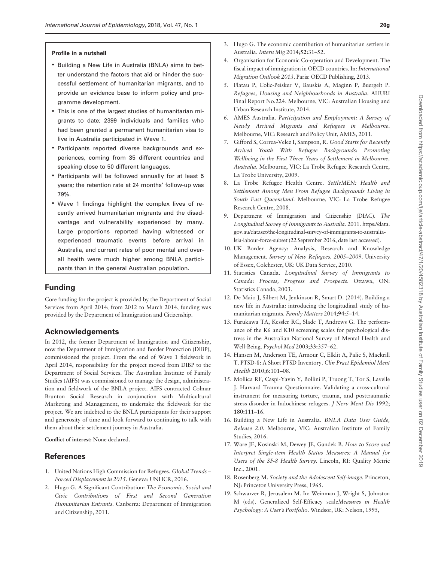#### <span id="page-7-0"></span>Profile in a nutshell

- Building a New Life in Australia (BNLA) aims to better understand the factors that aid or hinder the successful settlement of humanitarian migrants, and to provide an evidence base to inform policy and programme development.
- This is one of the largest studies of humanitarian migrants to date; 2399 individuals and families who had been granted a permanent humanitarian visa to live in Australia participated in Wave 1.
- Participants reported diverse backgrounds and experiences, coming from 35 different countries and speaking close to 50 different languages.
- Participants will be followed annually for at least 5 years; the retention rate at 24 months' follow-up was 79%.
- Wave 1 findings highlight the complex lives of recently arrived humanitarian migrants and the disadvantage and vulnerability experienced by many. Large proportions reported having witnessed or experienced traumatic events before arrival in Australia, and current rates of poor mental and overall health were much higher among BNLA participants than in the general Australian population.

# Funding

Core funding for the project is provided by the Department of Social Services from April 2014; from 2012 to March 2014, funding was provided by the Department of Immigration and Citizenship.

## Acknowledgements

In 2012, the former Department of Immigration and Citizenship, now the Department of Immigration and Border Protection (DIBP), commissioned the project. From the end of Wave 1 fieldwork in April 2014, responsibility for the project moved from DIBP to the Department of Social Services. The Australian Institute of Family Studies (AIFS) was commissioned to manage the design, administration and fieldwork of the BNLA project. AIFS contracted Colmar Brunton Social Research in conjunction with Multicultural Marketing and Management, to undertake the fieldwork for the project. We are indebted to the BNLA participants for their support and generosity of time and look forward to continuing to talk with them about their settlement journey in Australia.

Conflict of interest: None declared.

## **References**

- [1.](#page-0-0) United Nations High Commission for Refugees. Global Trends Forced Displacement in 2015. Geneva: UNHCR, 2016.
- 2. Hugo G. A Significant Contribution: The Economic, Social and Civic Contributions of First and Second Generation Humanitarian Entrants. Canberra: Department of Immigration and Citizenship, 2011.
- 3. Hugo G. The economic contribution of humanitarian settlers in Australia. Intern Mig 2014;52:31–52.
- 4. Organisation for Economic Co-operation and Development. The fiscal impact of immigration in OECD countries. In: International Migration Outlook 2013. Paris: OECD Publishing, 2013.
- 5. Flatau P, Colic-Peisker V, Bauskis A, Maginn P, Buergelt P. Refugees, Housing and Neighbourhoods in Australia. AHURI Final Report No.224. Melbourne, VIC: Australian Housing and Urban Research Institute, 2014.
- 6. AMES Australia. Participation and Employment: A Survey of Newly Arrived Migrants and Refugees in Melbourne. Melbourne, VIC: Research and Policy Unit, AMES, 2011.
- 7. Gifford S, Correa-Velez I, Sampson, R. Good Starts for Recently Arrived Youth With Refugee Backgrounds: Promoting Wellbeing in the First Three Years of Settlement in Melbourne, Australia. Melbourne, VIC: La Trobe Refugee Research Centre, La Trobe University, 2009.
- 8. La Trobe Refugee Health Centre. SettleMEN: Health and Settlement Among Men From Refugee Backgrounds Living in South East Queensland. Melbourne, VIC: La Trobe Refugee Research Centre, 2008.
- 9. Department of Immigration and Citizenship (DIAC). The Longitudinal Survey of Immigrants to Australia. 2011. [https://data.](https://data.gov.au/dataset/the-longitudinal-survey-of-immigrants-to-australia-lsia-labour-force-subset) [gov.au/dataset/the-longitudinal-survey-of-immigrants-to-australia](https://data.gov.au/dataset/the-longitudinal-survey-of-immigrants-to-australia-lsia-labour-force-subset)[lsia-labour-force-subset](https://data.gov.au/dataset/the-longitudinal-survey-of-immigrants-to-australia-lsia-labour-force-subset) (22 September 2016, date last accessed).
- [10.](#page-1-0) UK Border Agency: Analysis, Research and Knowledge Management. Survey of New Refugees, 2005–2009. University of Essex, Colchester, UK: UK Data Service, 2010.
- [11.](#page-1-0) Statistics Canada. Longitudinal Survey of Immigrants to Canada: Process, Progress and Prospects. Ottawa, ON: Statistics Canada, 2003.
- [12.](#page-1-0) De Maio J, Silbert M, Jenkinson R, Smart D. (2014). Building a new life in Australia: introducing the longitudinal study of humanitarian migrants. Family Matters 2014;94:5–14.
- [13.](#page-3-0) Furukawa TA, Kessler RC, Slade T, Andrews G. The performance of the K6 and K10 screening scales for psychological distress in the Australian National Survey of Mental Health and Well-Being. Psychol Med 2003;33:357–62.
- [14.](#page-3-0) Hansen M, Anderson TE, Armour C, Elklit A, Palic S, Mackrill T. PTSD-8: A Short PTSD Inventory. Clin Pract Epidemiol Ment Health 2010;6:101–08.
- [15.](#page-3-0) Mollica RF, Caspi-Yavin Y, Bollini P, Truong T, Tor S, Lavelle J. Harvard Trauma Questionnaire. Validating a cross-cultural instrument for measuring torture, trauma, and posttraumatic stress disorder in Indochinese refugees. J Nerv Ment Dis 1992; 180:111–16.
- [16.](#page-3-0) Building a New Life in Australia. BNLA Data User Guide, Release 2.0. Melbourne, VIC: Australian Institute of Family Studies, 2016.
- [17.](#page-3-0) Ware JE, Kosinski M, Dewey JE, Gandek B. How to Score and Interpret Single-item Health Status Measures: A Manual for Users of the SF-8 Health Survey. Lincoln, RI: Quality Metric Inc., 2001.
- [18.](#page-3-0) Rosenberg M. Society and the Adolescent Self-image. Princeton, NJ: Princeton University Press, 1965.
- [19.](#page-3-0) Schwarzer R, Jerusalem M. In: Weinman J, Wright S, Johnston M (eds). Generalized Self-Efficacy scaleMeasures in Health Psychology: A User's Portfolio. Windsor, UK: Nelson, 1995,